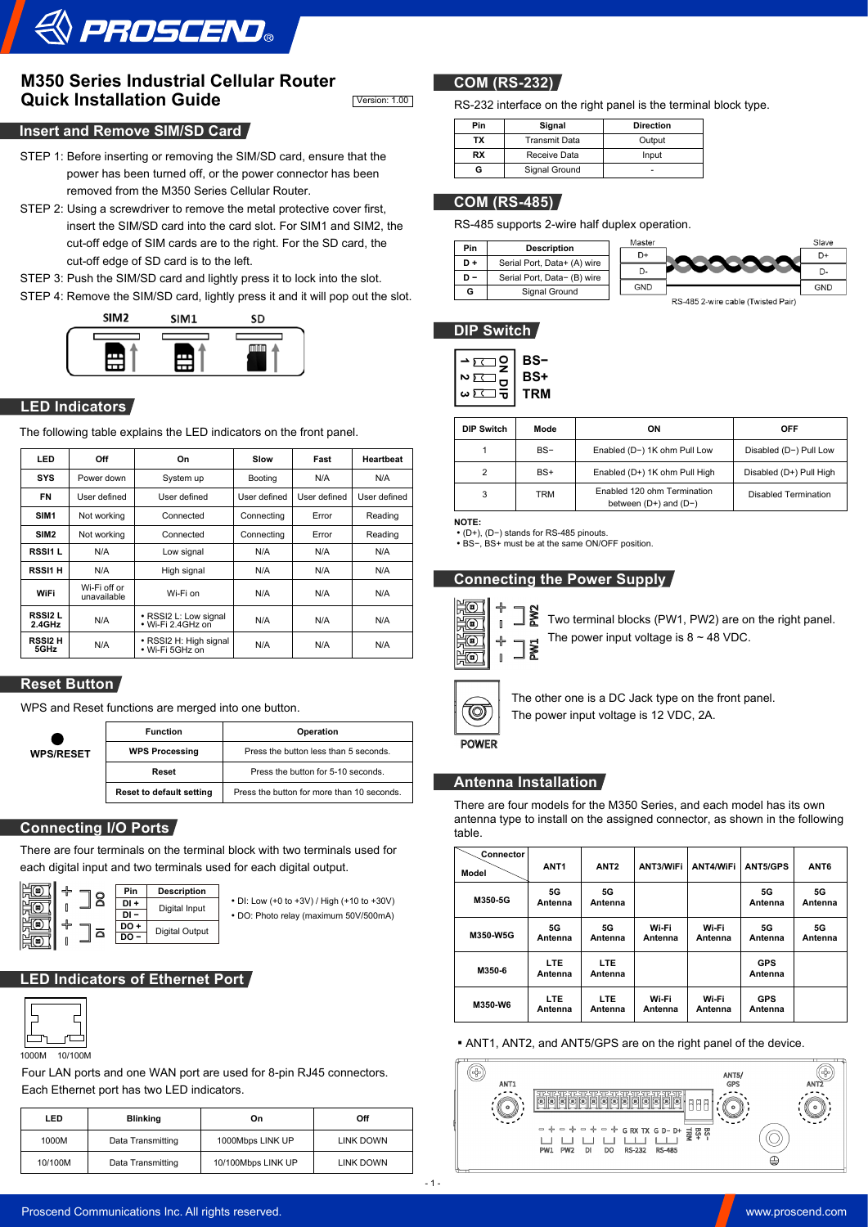

# **M350 Series Industrial Cellular Router Quick Installation Guide** Version: 1.00

## **Insert and Remove SIM/SD Card**

- STEP 1: Before inserting or removing the SIM/SD card, ensure that the power has been turned off, or the power connector has been removed from the M350 Series Cellular Router.
- STEP 2: Using a screwdriver to remove the metal protective cover first, insert the SIM/SD card into the card slot. For SIM1 and SIM2, the cut-off edge of SIM cards are to the right. For the SD card, the cut-off edge of SD card is to the left.
- STEP 3: Push the SIM/SD card and lightly press it to lock into the slot.
- STEP 4: Remove the SIM/SD card, lightly press it and it will pop out the slot.



# **LED Indicators**

The following table explains the LED indicators on the front panel.

| LED                     | Off                         | On                                         | Slow<br>Fast        |              | <b>Heartbeat</b> |
|-------------------------|-----------------------------|--------------------------------------------|---------------------|--------------|------------------|
| <b>SYS</b>              | Power down                  | System up                                  | Booting             | N/A          | N/A              |
| <b>FN</b>               | User defined                | User defined                               | User defined        | User defined | User defined     |
| SIM <sub>1</sub>        | Not working                 | Connected                                  | Error<br>Connecting |              | Reading          |
| SIM <sub>2</sub>        | Not working                 | Connected                                  | Connecting          | Error        | Reading          |
| RSSI1L                  | N/A                         | Low signal                                 | N/A                 | N/A          | N/A              |
| <b>RSSI1 H</b>          | N/A                         | High signal                                | N/A                 | N/A          | N/A              |
| WiFi                    | Wi-Fi off or<br>unavailable | Wi-Fi on                                   | N/A                 | N/A          | N/A              |
| <b>RSSI2L</b><br>2.4GHz | N/A                         | · RSSI2 L: Low signal<br>• Wi-Fi 2.4GHz on | N/A                 | N/A          | N/A              |
| <b>RSSI2 H</b><br>5GHz  | N/A                         | · RSSI2 H: High signal<br>• Wi-Fi 5GHz on  | N/A                 | N/A          | N/A              |

# **Reset Button**

WPS and Reset functions are merged into one button.

|                  | <b>Function</b>                 | Operation                                  |  |
|------------------|---------------------------------|--------------------------------------------|--|
| <b>WPS/RESET</b> | <b>WPS Processing</b>           | Press the button less than 5 seconds.      |  |
|                  | Reset                           | Press the button for 5-10 seconds.         |  |
|                  | <b>Reset to default setting</b> | Press the button for more than 10 seconds. |  |

## **Connecting I/O Ports**

There are four terminals on the terminal block with two terminals used for each digital input and two terminals used for each digital output.



•DI: Low (+0 to +3V) / High (+10 to +30V) •DO: Photo relay (maximum 50V/500mA)

# **LED Indicators of Ethernet Port**



1000M 10/100M

Four LAN ports and one WAN port are used for 8-pin RJ45 connectors. Each Ethernet port has two LED indicators.

| LED     | <b>Blinking</b>   | On                 | Off       |
|---------|-------------------|--------------------|-----------|
| 1000M   | Data Transmitting | 1000Mbps LINK UP   | LINK DOWN |
| 10/100M | Data Transmitting | 10/100Mbps LINK UP | LINK DOWN |

# **COM (RS-232)**

RS-232 interface on the right panel is the terminal block type.

| Pin       | Signal               | <b>Direction</b> |  |
|-----------|----------------------|------------------|--|
| ТΧ        | <b>Transmit Data</b> | Output           |  |
| <b>RX</b> | Receive Data         | Input            |  |
|           | Signal Ground        |                  |  |

### **COM (RS-485)**

RS-485 supports 2-wire half duplex operation.



## **DIP Switch**



| DIP Switch     | Mode  | ON                                                       | <b>OFF</b>              |  |
|----------------|-------|----------------------------------------------------------|-------------------------|--|
|                | $BS-$ | Enabled (D-) 1K ohm Pull Low                             | Disabled (D-) Pull Low  |  |
| $\overline{2}$ | $BS+$ | Enabled (D+) 1K ohm Pull High                            | Disabled (D+) Pull High |  |
| 3              | TRM   | Enabled 120 ohm Termination<br>between $(D+)$ and $(D-)$ | Disabled Termination    |  |

**NOTE:**

•(D+), (D−) stands for RS-485 pinouts. •BS−, BS+ must be at the same ON/OFF position.

### **Connecting the Power Supply**



PW<sub>2</sub> Two terminal blocks (PW1, PW2) are on the right panel.

**EWL** The power input voltage is  $8 \sim 48$  VDC.



The other one is a DC Jack type on the front panel. The power input voltage is 12 VDC, 2A.

# **POWER**

### **Antenna Installation**

There are four models for the M350 Series, and each model has its own antenna type to install on the assigned connector, as shown in the following table.

| Connector<br>Model | ANT <sub>1</sub> | ANT <sub>2</sub>      | ANT3/WiFi        | ANT4/WiFi        | <b>ANT5/GPS</b>       | ANT <sub>6</sub>     |
|--------------------|------------------|-----------------------|------------------|------------------|-----------------------|----------------------|
| M350-5G            | 5G<br>Antenna    | 5G<br>Antenna         |                  |                  | 5G<br>Antenna         | 5G<br>Antenna        |
| <b>M350 W5G</b>    | 5G<br>Antenna    | 5G<br>Antenna         | Wi-Fi<br>Antenna | Wi-Fi<br>Antenna | 5G<br>Antenna         | <b>5G</b><br>Antenna |
| M350-6             | LTE.<br>Antenna  | LTE.<br>Antenna       |                  |                  | <b>GPS</b><br>Antenna |                      |
| M350 W6            | LTE.<br>Antenna  | <b>LTE</b><br>Antenna | Wi-Fi<br>Antenna | Wi-Fi<br>Antenna | <b>GPS</b><br>Antenna |                      |

### **• ANT1, ANT2, and ANT5/GPS are on the right panel of the device.**